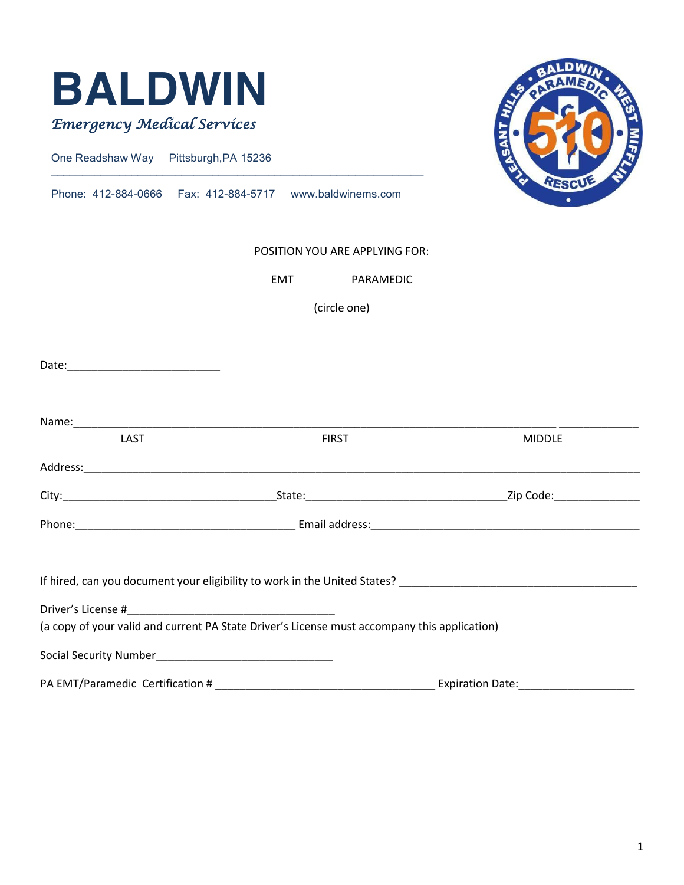

One Readshaw Way Pittsburgh,PA 15236

Phone: 412-884-0666 Fax: 412-884-5717 www.baldwinems.com

 $\mathcal{L}_\text{max}$  , and the contribution of the contribution of the contribution of the contribution of the contribution of the contribution of the contribution of the contribution of the contribution of the contribution of t



#### POSITION YOU ARE APPLYING FOR:

EMT PARAMEDIC

(circle one)

| LAST                             | <b>FIRST</b>                                                                                 | <b>MIDDLE</b>                                                                                                                                                                                                                  |
|----------------------------------|----------------------------------------------------------------------------------------------|--------------------------------------------------------------------------------------------------------------------------------------------------------------------------------------------------------------------------------|
|                                  |                                                                                              |                                                                                                                                                                                                                                |
|                                  |                                                                                              |                                                                                                                                                                                                                                |
|                                  |                                                                                              |                                                                                                                                                                                                                                |
|                                  |                                                                                              | If hired, can you document your eligibility to work in the United States? [10] The Canada management of the United States? [10] The Mines, and the United States? [10] The Mines of the Mines of the Mines of the Mines of the |
|                                  |                                                                                              |                                                                                                                                                                                                                                |
|                                  | (a copy of your valid and current PA State Driver's License must accompany this application) |                                                                                                                                                                                                                                |
|                                  |                                                                                              |                                                                                                                                                                                                                                |
| PA EMT/Paramedic Certification # |                                                                                              | <b>Expiration Date:</b>                                                                                                                                                                                                        |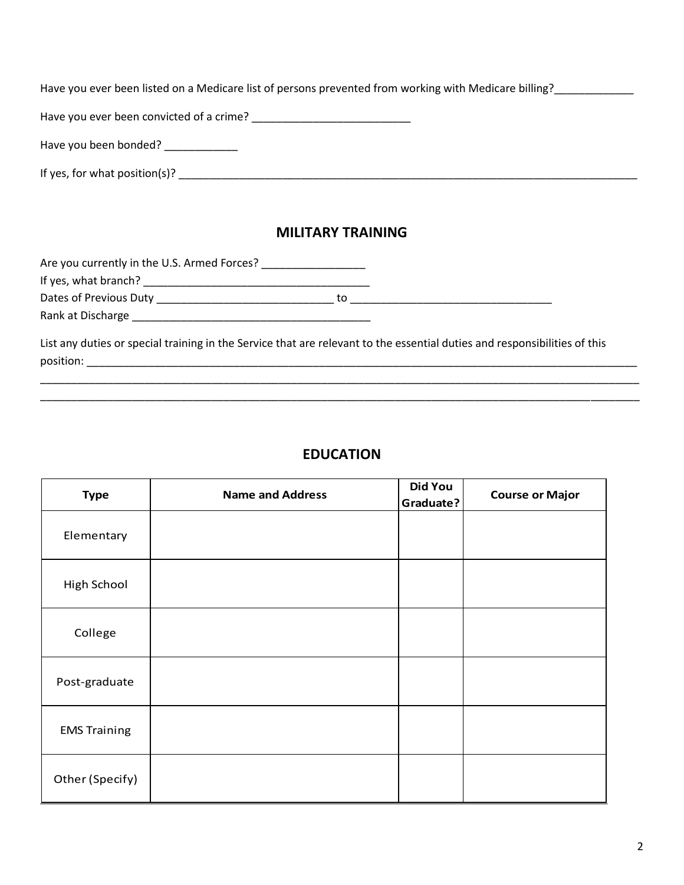Have you ever been listed on a Medicare list of persons prevented from working with Medicare billing?

Have you ever been convicted of a crime? \_\_\_\_\_\_\_\_\_\_\_\_\_\_\_\_\_\_\_\_\_\_\_\_\_\_

Have you been bonded? \_\_\_\_\_\_\_\_\_\_\_\_\_

If yes, for what position(s)? \_\_\_\_\_\_\_\_\_\_\_\_\_\_\_\_\_\_\_\_\_\_\_\_\_\_\_\_\_\_\_\_\_\_\_\_\_\_\_\_\_\_\_\_\_\_\_\_\_\_\_\_\_\_\_\_\_\_\_\_\_\_\_\_\_\_\_\_\_\_\_\_\_\_\_

### **MILITARY TRAINING**

Are you currently in the U.S. Armed Forces? \_\_\_\_\_\_\_\_\_\_\_\_\_\_\_\_\_ If yes, what branch? \_\_\_\_\_\_\_\_\_\_\_\_\_\_\_\_\_\_\_\_\_\_\_\_\_\_\_\_\_\_\_\_\_\_\_\_\_ Dates of Previous Duty \_\_\_\_\_\_\_\_\_\_\_\_\_\_\_\_\_\_\_\_\_\_\_\_\_\_\_\_\_ to \_\_\_\_\_\_\_\_\_\_\_\_\_\_\_\_\_\_\_\_\_\_\_\_\_\_\_\_\_\_\_\_\_ Rank at Discharge \_\_\_\_\_\_\_\_\_\_\_\_\_\_\_\_\_\_\_\_\_\_\_\_\_\_\_\_\_\_\_\_\_\_\_\_\_\_\_

List any duties or special training in the Service that are relevant to the essential duties and responsibilities of this position: \_\_\_\_\_\_\_\_\_\_\_\_\_\_\_\_\_\_\_\_\_\_\_\_\_\_\_\_\_\_\_\_\_\_\_\_\_\_\_\_\_\_\_\_\_\_\_\_\_\_\_\_\_\_\_\_\_\_\_\_\_\_\_\_\_\_\_\_\_\_\_\_\_\_\_\_\_\_\_\_\_\_\_\_\_\_\_\_\_\_

# **EDUCATION**

\_\_\_\_\_\_\_\_\_\_\_\_\_\_\_\_\_\_\_\_\_\_\_\_\_\_\_\_\_\_\_\_\_\_\_\_\_\_\_\_\_\_\_\_\_\_\_\_\_\_\_\_\_\_\_\_\_\_\_\_\_\_\_\_\_\_\_\_\_\_\_\_\_\_\_\_\_\_\_\_\_\_\_\_\_\_\_\_\_\_\_\_\_\_\_\_\_\_ \_\_\_\_\_\_\_\_\_\_\_\_\_\_\_\_\_\_\_\_\_\_\_\_\_\_\_\_\_\_\_\_\_\_\_\_\_\_\_\_\_\_\_\_\_\_\_\_\_\_\_\_\_\_\_\_\_\_\_\_\_\_\_\_\_\_\_\_\_\_\_\_\_\_\_\_\_\_\_\_\_\_\_\_\_\_\_\_\_\_\_\_\_\_\_\_\_\_

| <b>Type</b>         | <b>Name and Address</b> | <b>Did You</b><br>Graduate? | <b>Course or Major</b> |  |
|---------------------|-------------------------|-----------------------------|------------------------|--|
| Elementary          |                         |                             |                        |  |
| High School         |                         |                             |                        |  |
| College             |                         |                             |                        |  |
| Post-graduate       |                         |                             |                        |  |
| <b>EMS Training</b> |                         |                             |                        |  |
| Other (Specify)     |                         |                             |                        |  |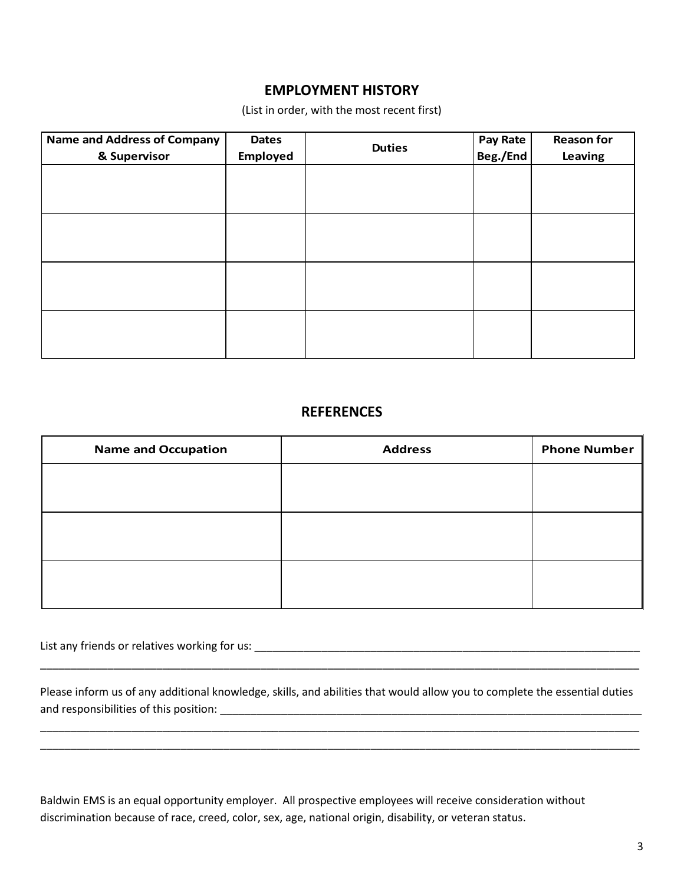### **EMPLOYMENT HISTORY**

(List in order, with the most recent first)

| <b>Name and Address of Company</b> | <b>Dates</b> | <b>Duties</b> | Pay Rate | <b>Reason for</b> |
|------------------------------------|--------------|---------------|----------|-------------------|
| & Supervisor                       | Employed     |               | Beg./End | Leaving           |
|                                    |              |               |          |                   |
|                                    |              |               |          |                   |
|                                    |              |               |          |                   |
|                                    |              |               |          |                   |
|                                    |              |               |          |                   |
|                                    |              |               |          |                   |
|                                    |              |               |          |                   |
|                                    |              |               |          |                   |
|                                    |              |               |          |                   |
|                                    |              |               |          |                   |
|                                    |              |               |          |                   |
|                                    |              |               |          |                   |

#### **REFERENCES**

| <b>Name and Occupation</b> | <b>Address</b> | <b>Phone Number</b> |
|----------------------------|----------------|---------------------|
|                            |                |                     |
|                            |                |                     |
|                            |                |                     |
|                            |                |                     |
|                            |                |                     |
|                            |                |                     |

List any friends or relatives working for us: \_\_\_\_\_\_\_\_\_\_\_\_\_\_\_\_\_\_\_\_\_\_\_\_\_\_\_\_\_\_\_\_\_\_\_\_\_\_\_\_\_\_\_\_\_\_\_\_\_\_\_\_\_\_\_\_\_\_\_\_\_\_\_

Please inform us of any additional knowledge, skills, and abilities that would allow you to complete the essential duties and responsibilities of this position: \_\_\_\_\_\_\_\_\_\_\_\_\_\_\_\_\_\_\_\_\_\_\_\_\_\_\_\_\_\_\_\_\_\_\_\_\_\_\_\_\_\_\_\_\_\_\_\_\_\_\_\_\_\_\_\_\_\_\_\_\_\_\_\_\_\_\_\_\_

\_\_\_\_\_\_\_\_\_\_\_\_\_\_\_\_\_\_\_\_\_\_\_\_\_\_\_\_\_\_\_\_\_\_\_\_\_\_\_\_\_\_\_\_\_\_\_\_\_\_\_\_\_\_\_\_\_\_\_\_\_\_\_\_\_\_\_\_\_\_\_\_\_\_\_\_\_\_\_\_\_\_\_\_\_\_\_\_\_\_\_\_\_\_\_\_\_\_ \_\_\_\_\_\_\_\_\_\_\_\_\_\_\_\_\_\_\_\_\_\_\_\_\_\_\_\_\_\_\_\_\_\_\_\_\_\_\_\_\_\_\_\_\_\_\_\_\_\_\_\_\_\_\_\_\_\_\_\_\_\_\_\_\_\_\_\_\_\_\_\_\_\_\_\_\_\_\_\_\_\_\_\_\_\_\_\_\_\_\_\_\_\_\_\_\_\_

\_\_\_\_\_\_\_\_\_\_\_\_\_\_\_\_\_\_\_\_\_\_\_\_\_\_\_\_\_\_\_\_\_\_\_\_\_\_\_\_\_\_\_\_\_\_\_\_\_\_\_\_\_\_\_\_\_\_\_\_\_\_\_\_\_\_\_\_\_\_\_\_\_\_\_\_\_\_\_\_\_\_\_\_\_\_\_\_\_\_\_\_\_\_\_\_\_\_

Baldwin EMS is an equal opportunity employer. All prospective employees will receive consideration without discrimination because of race, creed, color, sex, age, national origin, disability, or veteran status.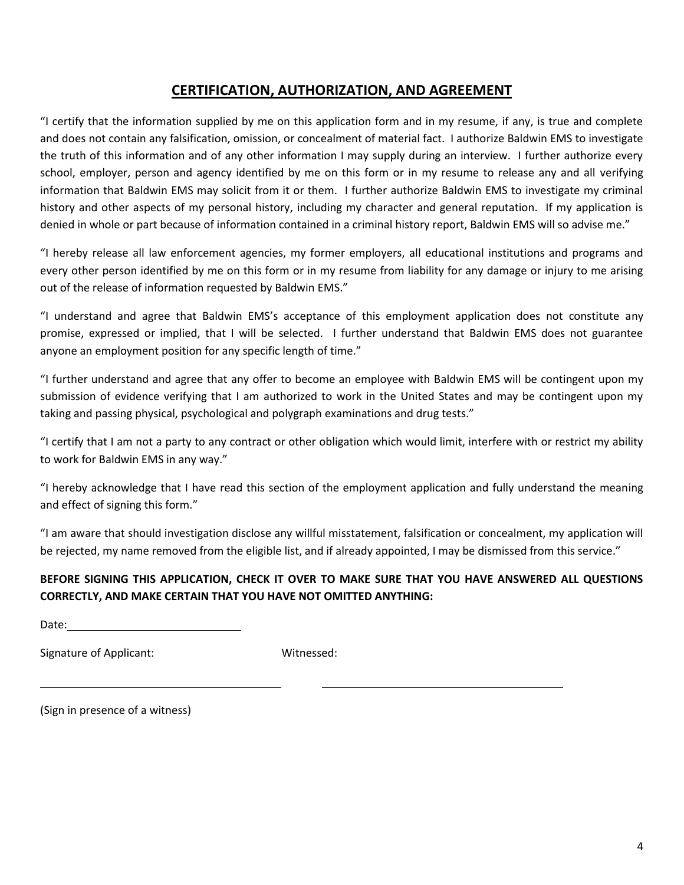## **CERTIFICATION, AUTHORIZATION, AND AGREEMENT**

"I certify that the information supplied by me on this application form and in my resume, if any, is true and complete and does not contain any falsification, omission, or concealment of material fact. I authorize Baldwin EMS to investigate the truth of this information and of any other information I may supply during an interview. I further authorize every school, employer, person and agency identified by me on this form or in my resume to release any and all verifying information that Baldwin EMS may solicit from it or them. I further authorize Baldwin EMS to investigate my criminal history and other aspects of my personal history, including my character and general reputation. If my application is denied in whole or part because of information contained in a criminal history report, Baldwin EMS will so advise me."

"I hereby release all law enforcement agencies, my former employers, all educational institutions and programs and every other person identified by me on this form or in my resume from liability for any damage or injury to me arising out of the release of information requested by Baldwin EMS."

"I understand and agree that Baldwin EMS's acceptance of this employment application does not constitute any promise, expressed or implied, that I will be selected. I further understand that Baldwin EMS does not guarantee anyone an employment position for any specific length of time."

"I further understand and agree that any offer to become an employee with Baldwin EMS will be contingent upon my submission of evidence verifying that I am authorized to work in the United States and may be contingent upon my taking and passing physical, psychological and polygraph examinations and drug tests."

"I certify that I am not a party to any contract or other obligation which would limit, interfere with or restrict my ability to work for Baldwin EMS in any way."

"I hereby acknowledge that I have read this section of the employment application and fully understand the meaning and effect of signing this form."

"I am aware that should investigation disclose any willful misstatement, falsification or concealment, my application will be rejected, my name removed from the eligible list, and if already appointed, I may be dismissed from this service."

### **BEFORE SIGNING THIS APPLICATION, CHECK IT OVER TO MAKE SURE THAT YOU HAVE ANSWERED ALL QUESTIONS CORRECTLY, AND MAKE CERTAIN THAT YOU HAVE NOT OMITTED ANYTHING:**

Date:

Signature of Applicant: Witnessed:

(Sign in presence of a witness)